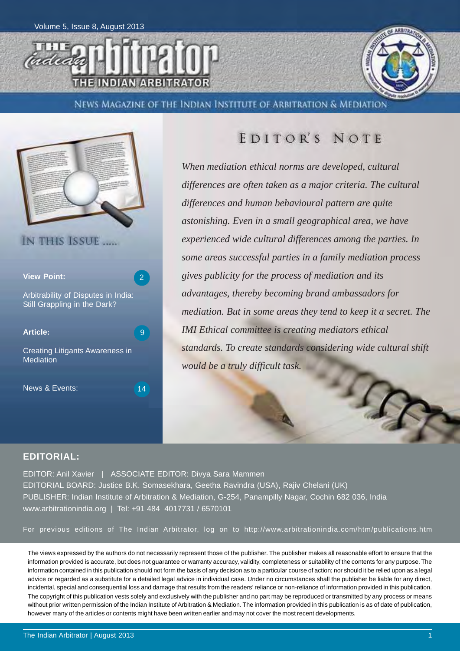



NEWS MAGAZINE OF THE INDIAN INSTITUTE OF ARBITRATION & MEDIATION



### EDITOR'S NOTE

*When mediation ethical norms are developed, cultural differences are often taken as a major criteria. The cultural differences and human behavioural pattern are quite astonishing. Even in a small geographical area, we have experienced wide cultural differences among the parties. In some areas successful parties in a family mediation process gives publicity for the process of mediation and its advantages, thereby becoming brand ambassadors for mediation. But in some areas they tend to keep it a secret. The IMI Ethical committee is creating mediators ethical standards. To create standards considering wide cultural shift would be a truly difficult task.*

### **EDITORIAL:**

EDITOR: Anil Xavier | ASSOCIATE EDITOR: Divya Sara Mammen EDITORIAL BOARD: Justice B.K. Somasekhara, Geetha Ravindra (USA), Rajiv Chelani (UK) PUBLISHER: Indian Institute of Arbitration & Mediation, G-254, Panampilly Nagar, Cochin 682 036, India www.arbitrationindia.org | Tel: +91 484 4017731 / 6570101

For previous editions of The Indian Arbitrator, log on to http://www.arbitrationindia.com/htm/publications.htm

The views expressed by the authors do not necessarily represent those of the publisher. The publisher makes all reasonable effort to ensure that the information provided is accurate, but does not guarantee or warranty accuracy, validity, completeness or suitability of the contents for any purpose. The information contained in this publication should not form the basis of any decision as to a particular course of action; nor should it be relied upon as a legal advice or regarded as a substitute for a detailed legal advice in individual case. Under no circumstances shall the publisher be liable for any direct, incidental, special and consequential loss and damage that results from the readers' reliance or non-reliance of information provided in this publication. The copyright of this publication vests solely and exclusively with the publisher and no part may be reproduced or transmitted by any process or means without prior written permission of the Indian Institute of Arbitration & Mediation. The information provided in this publication is as of date of publication, however many of the articles or contents might have been written earlier and may not cover the most recent developments.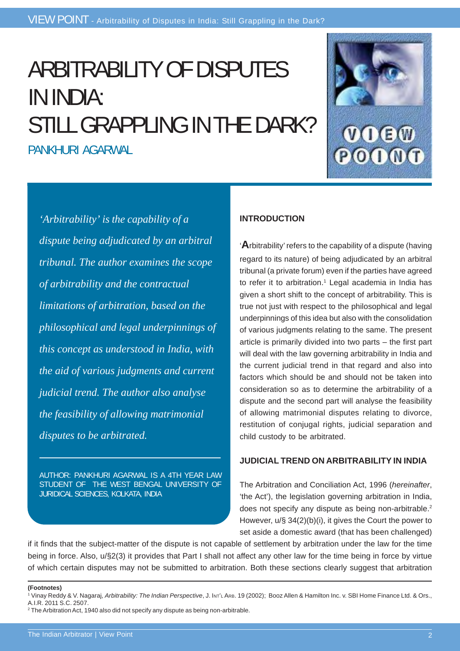# ARBITRABILITY OF DISPUTES IN INDIA: STILL GRAPPLING IN THE DARK? PANKHURI AGARWAL



*'Arbitrability' is the capability of a dispute being adjudicated by an arbitral tribunal. The author examines the scope of arbitrability and the contractual limitations of arbitration, based on the philosophical and legal underpinnings of this concept as understood in India, with the aid of various judgments and current judicial trend. The author also analyse the feasibility of allowing matrimonial disputes to be arbitrated.*

AUTHOR: PANKHURI AGARWAL IS A 4TH YEAR LAW STUDENT OF THE WEST BENGAL UNIVERSITY OF JURIDICAL SCIENCES, KOLKATA, INDIA

### **INTRODUCTION**

'**A**rbitrability' refers to the capability of a dispute (having regard to its nature) of being adjudicated by an arbitral tribunal (a private forum) even if the parties have agreed to refer it to arbitration.<sup>1</sup> Legal academia in India has given a short shift to the concept of arbitrability. This is true not just with respect to the philosophical and legal underpinnings of this idea but also with the consolidation of various judgments relating to the same. The present article is primarily divided into two parts – the first part will deal with the law governing arbitrability in India and the current judicial trend in that regard and also into factors which should be and should not be taken into consideration so as to determine the arbitrability of a dispute and the second part will analyse the feasibility of allowing matrimonial disputes relating to divorce, restitution of conjugal rights, judicial separation and child custody to be arbitrated.

### **JUDICIAL TREND ON ARBITRABILITY IN INDIA**

The Arbitration and Conciliation Act, 1996 (*hereinafter*, 'the Act'), the legislation governing arbitration in India, does not specify any dispute as being non-arbitrable.<sup>2</sup> However, u/§ 34(2)(b)(i), it gives the Court the power to set aside a domestic award (that has been challenged)

if it finds that the subject-matter of the dispute is not capable of settlement by arbitration under the law for the time being in force. Also, u/§2(3) it provides that Part I shall not affect any other law for the time being in force by virtue of which certain disputes may not be submitted to arbitration. Both these sections clearly suggest that arbitration

**(Footnotes)**

<sup>2</sup> The Arbitration Act, 1940 also did not specify any dispute as being non-arbitrable.

<sup>1</sup> Vinay Reddy & V. Nagaraj, *Arbitrability: The Indian Perspective*, J. INT'L ARB. 19 (2002); Booz Allen & Hamilton Inc. v. SBI Home Finance Ltd. & Ors., A.I.R. 2011 S.C. 2507.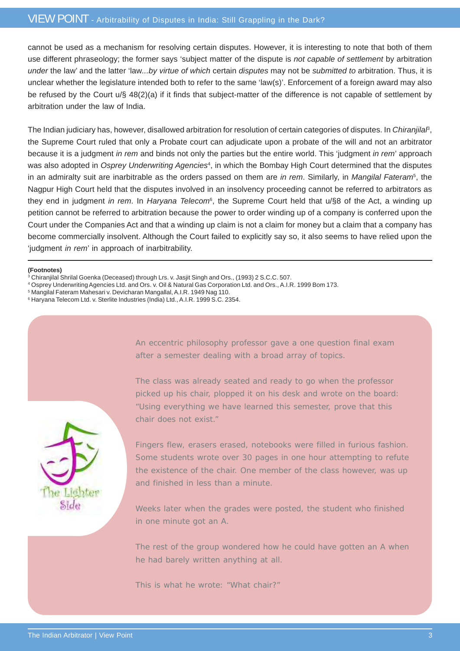### VIEW POINT - Arbitrability of Disputes in India: Still Grappling in the Dark?

cannot be used as a mechanism for resolving certain disputes. However, it is interesting to note that both of them use different phraseology; the former says 'subject matter of the dispute is *not capable of settlement* by arbitration *under* the law' and the latter 'law*...by virtue of which* certain *disputes* may not be *submitted to* arbitration. Thus, it is unclear whether the legislature intended both to refer to the same 'law(s)'. Enforcement of a foreign award may also be refused by the Court u/§ 48(2)(a) if it finds that subject-matter of the difference is not capable of settlement by arbitration under the law of India.

The Indian judiciary has, however, disallowed arbitration for resolution of certain categories of disputes. In *Chiranjilal*<sup>8</sup>, the Supreme Court ruled that only a Probate court can adjudicate upon a probate of the will and not an arbitrator because it is a judgment *in rem* and binds not only the parties but the entire world. This 'judgment *in rem*' approach was also adopted in *Osprey Underwriting Agencies*<sup>4</sup>, in which the Bombay High Court determined that the disputes in an admiralty suit are inarbitrable as the orders passed on them are *in rem*. Similarly, in *Mangilal Fateram*<sup>5</sup> , the Nagpur High Court held that the disputes involved in an insolvency proceeding cannot be referred to arbitrators as they end in judgment *in rem*. In *Haryana Telecom*<sup>6</sup>, the Supreme Court held that u/§8 of the Act, a winding up petition cannot be referred to arbitration because the power to order winding up of a company is conferred upon the Court under the Companies Act and that a winding up claim is not a claim for money but a claim that a company has become commercially insolvent. Although the Court failed to explicitly say so, it also seems to have relied upon the 'judgment *in rem*' in approach of inarbitrability.

### **(Footnotes)**

- 3 Chiranjilal Shrilal Goenka (Deceased) through Lrs. v. Jasjit Singh and Ors., (1993) 2 S.C.C. 507.
- 4 Osprey Underwriting Agencies Ltd. and Ors. v. Oil & Natural Gas Corporation Ltd. and Ors., A.I.R. 1999 Bom 173.
- 5 Mangilal Fateram Mahesari v. Devicharan Mangallal, A.I.R. 1949 Nag 110.
- 6 Haryana Telecom Ltd. v. Sterlite Industries (India) Ltd., A.I.R. 1999 S.C. 2354.



An eccentric philosophy professor gave a one question final exam after a semester dealing with a broad array of topics.

The class was already seated and ready to go when the professor picked up his chair, plopped it on his desk and wrote on the board: "Using everything we have learned this semester, prove that this chair does not exist."

Fingers flew, erasers erased, notebooks were filled in furious fashion. Some students wrote over 30 pages in one hour attempting to refute the existence of the chair. One member of the class however, was up and finished in less than a minute.

Weeks later when the grades were posted, the student who finished in one minute got an A.

The rest of the group wondered how he could have gotten an A when he had barely written anything at all.

This is what he wrote: "What chair?"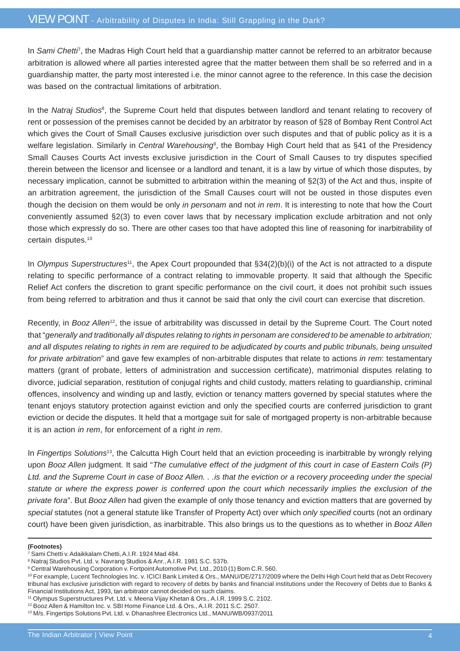In *Sami Chetti*7, the Madras High Court held that a guardianship matter cannot be referred to an arbitrator because arbitration is allowed where all parties interested agree that the matter between them shall be so referred and in a guardianship matter, the party most interested i.e. the minor cannot agree to the reference. In this case the decision was based on the contractual limitations of arbitration.

In the *Natraj Studios<sup>8</sup>*, the Supreme Court held that disputes between landlord and tenant relating to recovery of rent or possession of the premises cannot be decided by an arbitrator by reason of §28 of Bombay Rent Control Act which gives the Court of Small Causes exclusive jurisdiction over such disputes and that of public policy as it is a welfare legislation. Similarly in *Central Warehousing*<sup>9</sup> , the Bombay High Court held that as §41 of the Presidency Small Causes Courts Act invests exclusive jurisdiction in the Court of Small Causes to try disputes specified therein between the licensor and licensee or a landlord and tenant, it is a law by virtue of which those disputes, by necessary implication, cannot be submitted to arbitration within the meaning of §2(3) of the Act and thus, inspite of an arbitration agreement, the jurisdiction of the Small Causes court will not be ousted in those disputes even though the decision on them would be only *in personam* and not *in rem*. It is interesting to note that how the Court conveniently assumed §2(3) to even cover laws that by necessary implication exclude arbitration and not only those which expressly do so. There are other cases too that have adopted this line of reasoning for inarbitrability of certain disputes.10

In *Olympus Superstructures*<sup>11</sup>, the Apex Court propounded that §34(2)(b)(i) of the Act is not attracted to a dispute relating to specific performance of a contract relating to immovable property. It said that although the Specific Relief Act confers the discretion to grant specific performance on the civil court, it does not prohibit such issues from being referred to arbitration and thus it cannot be said that only the civil court can exercise that discretion.

Recently, in *Booz Allen*12, the issue of arbitrability was discussed in detail by the Supreme Court. The Court noted that "*generally and traditionally all disputes relating to rights in personam are considered to be amenable to arbitration; and all disputes relating to rights in rem are required to be adjudicated by courts and public tribunals, being unsuited for private arbitration*" and gave few examples of non-arbitrable disputes that relate to actions *in rem*: testamentary matters (grant of probate, letters of administration and succession certificate), matrimonial disputes relating to divorce, judicial separation, restitution of conjugal rights and child custody, matters relating to guardianship, criminal offences, insolvency and winding up and lastly, eviction or tenancy matters governed by special statutes where the tenant enjoys statutory protection against eviction and only the specified courts are conferred jurisdiction to grant eviction or decide the disputes. It held that a mortgage suit for sale of mortgaged property is non-arbitrable because it is an action *in rem*, for enforcement of a right *in rem*.

In *Fingertips Solutions*13, the Calcutta High Court held that an eviction proceeding is inarbitrable by wrongly relying upon *Booz Allen* judgment. It said "*The cumulative effect of the judgment of this court in case of Eastern Coils (P) Ltd. and the Supreme Court in case of Booz Allen. . .is that the eviction or a recovery proceeding under the special statute or where the express power is conferred upon the court which necessarily implies the exclusion of the private fora*". But *Booz Allen* had given the example of only those tenancy and eviction matters that are governed by *special* statutes (not a general statute like Transfer of Property Act) over which *only specified* courts (not an ordinary court) have been given jurisdiction, as inarbitrable. This also brings us to the questions as to whether in *Booz Allen*

### **(Footnotes)**

<sup>7</sup> Sami Chetti v. Adaikkalam Chetti, A.I.R. 1924 Mad 484.

<sup>8</sup> Natraj Studios Pvt. Ltd. v. Navrang Studios & Anr., A.I.R. 1981 S.C. 537b.

<sup>&</sup>lt;sup>9</sup> Central Warehousing Corporation v. Fortpoint Automotive Pvt. Ltd., 2010 (1) Bom C.R. 560.

<sup>10</sup> For example, Lucent Technologies Inc. v. ICICI Bank Limited & Ors., MANU/DE/2717/2009 where the Delhi High Court held that as Debt Recovery tribunal has exclusive jurisdiction with regard to recovery of debts by banks and financial institutions under the Recovery of Debts due to Banks & Financial Institutions Act, 1993, tan arbitrator cannot decided on such claims.

<sup>11</sup> Olympus Superstructures Pvt. Ltd. v. Meena Vijay Khetan & Ors., A.I.R. 1999 S.C. 2102.

<sup>12</sup> Booz Allen & Hamilton Inc. v. SBI Home Finance Ltd. & Ors., A.I.R. 2011 S.C. 2507.

<sup>13</sup> M/s. Fingertips Solutions Pvt. Ltd. v. Dhanashree Electronics Ltd., MANU/WB/0937/2011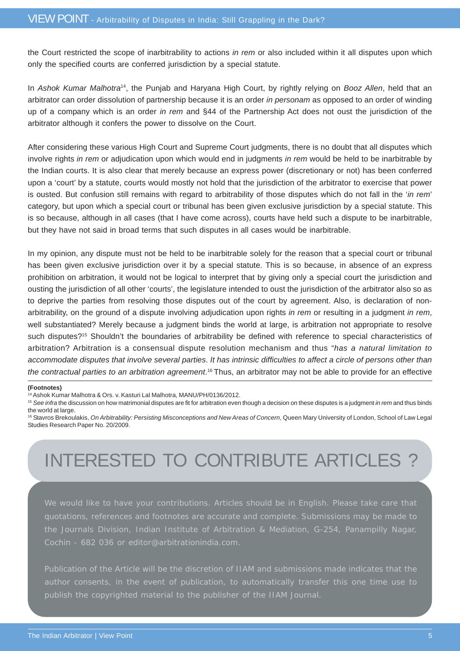the Court restricted the scope of inarbitrability to actions *in rem* or also included within it all disputes upon which only the specified courts are conferred jurisdiction by a special statute.

In *Ashok Kumar Malhotra*14, the Punjab and Haryana High Court, by rightly relying on *Booz Allen*, held that an arbitrator can order dissolution of partnership because it is an order *in personam* as opposed to an order of winding up of a company which is an order *in rem* and §44 of the Partnership Act does not oust the jurisdiction of the arbitrator although it confers the power to dissolve on the Court.

After considering these various High Court and Supreme Court judgments, there is no doubt that all disputes which involve rights *in rem* or adjudication upon which would end in judgments *in rem* would be held to be inarbitrable by the Indian courts. It is also clear that merely because an express power (discretionary or not) has been conferred upon a 'court' by a statute, courts would mostly not hold that the jurisdiction of the arbitrator to exercise that power is ousted. But confusion still remains with regard to arbitrability of those disputes which do not fall in the '*in rem*' category, but upon which a special court or tribunal has been given exclusive jurisdiction by a special statute. This is so because, although in all cases (that I have come across), courts have held such a dispute to be inarbitrable, but they have not said in broad terms that such disputes in all cases would be inarbitrable.

In my opinion, any dispute must not be held to be inarbitrable solely for the reason that a special court or tribunal has been given exclusive jurisdiction over it by a special statute. This is so because, in absence of an express prohibition on arbitration, it would not be logical to interpret that by giving only a special court the jurisdiction and ousting the jurisdiction of all other 'courts', the legislature intended to oust the jurisdiction of the arbitrator also so as to deprive the parties from resolving those disputes out of the court by agreement. Also, is declaration of nonarbitrability, on the ground of a dispute involving adjudication upon rights *in rem* or resulting in a judgment *in rem*, well substantiated? Merely because a judgment binds the world at large, is arbitration not appropriate to resolve such disputes?<sup>15</sup> Shouldn't the boundaries of arbitrability be defined with reference to special characteristics of arbitration? Arbitration is a consensual dispute resolution mechanism and thus "*has a natural limitation to accommodate disputes that involve several parties*. *It has intrinsic difficulties to affect a circle of persons other than* the contractual parties to an arbitration agreement.<sup>16</sup> Thus, an arbitrator may not be able to provide for an effective

#### **(Footnotes)**

14 Ashok Kumar Malhotra & Ors. v. Kasturi Lal Malhotra, MANU/PH/0136/2012.

- <sup>15</sup> *See infra* the discussion on how matrimonial disputes are fit for arbitration even though a decision on these disputes is a judgment *in rem* and thus binds the world at large.
- <sup>16</sup> Stavros Brekoulakis, On Arbitrability: Persisting Misconceptions and New Areas of Concern, Queen Mary University of London, School of Law Legal Studies Research Paper No. 20/2009.

# INTERESTED TO CONTRIBUTE ARTICLES ?

We would like to have your contributions. Articles should be in English. Please take care that quotations, references and footnotes are accurate and complete. Submissions may be made to the Journals Division, Indian Institute of Arbitration & Mediation, G-254, Panampilly Nagar, Cochin - 682 036 or editor@arbitrationindia.com.

Publication of the Article will be the discretion of IIAM and submissions made indicates that the publish the copyrighted material to the publisher of the IIAM Journal.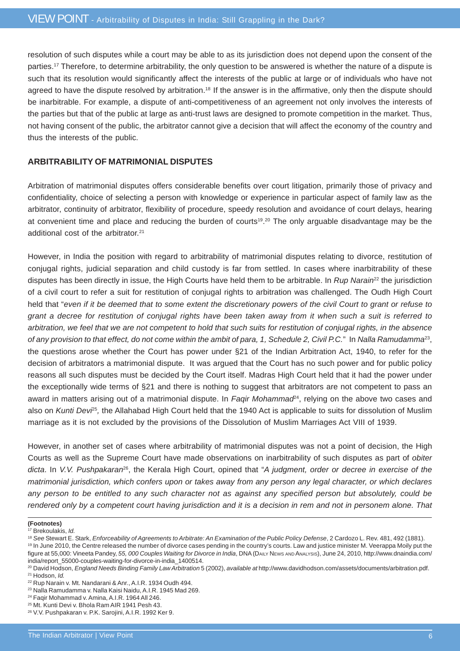resolution of such disputes while a court may be able to as its jurisdiction does not depend upon the consent of the parties.17 Therefore, to determine arbitrability, the only question to be answered is whether the nature of a dispute is such that its resolution would significantly affect the interests of the public at large or of individuals who have not agreed to have the dispute resolved by arbitration.<sup>18</sup> If the answer is in the affirmative, only then the dispute should be inarbitrable. For example, a dispute of anti-competitiveness of an agreement not only involves the interests of the parties but that of the public at large as anti-trust laws are designed to promote competition in the market. Thus, not having consent of the public, the arbitrator cannot give a decision that will affect the economy of the country and thus the interests of the public.

### **ARBITRABILITY OF MATRIMONIAL DISPUTES**

Arbitration of matrimonial disputes offers considerable benefits over court litigation, primarily those of privacy and confidentiality, choice of selecting a person with knowledge or experience in particular aspect of family law as the arbitrator, continuity of arbitrator, flexibility of procedure, speedy resolution and avoidance of court delays, hearing at convenient time and place and reducing the burden of courts<sup>19,20</sup> The only arguable disadvantage may be the additional cost of the arbitrator.<sup>21</sup>

However, in India the position with regard to arbitrability of matrimonial disputes relating to divorce, restitution of conjugal rights, judicial separation and child custody is far from settled. In cases where inarbitrability of these disputes has been directly in issue, the High Courts have held them to be arbitrable. In *Rup Narain*22 the jurisdiction of a civil court to refer a suit for restitution of conjugal rights to arbitration was challenged. The Oudh High Court held that "*even if it be deemed that to some extent the discretionary powers of the civil Court to grant or refuse to grant a decree for restitution of conjugal rights have been taken away from it when such a suit is referred to arbitration, we feel that we are not competent to hold that such suits for restitution of conjugal rights, in the absence of any provision to that effect, do not come within the ambit of para, 1, Schedule 2, Civil P.C.*"In *Nalla Ramudamma*23, the questions arose whether the Court has power under §21 of the Indian Arbitration Act, 1940, to refer for the decision of arbitrators a matrimonial dispute. It was argued that the Court has no such power and for public policy reasons all such disputes must be decided by the Court itself. Madras High Court held that it had the power under the exceptionally wide terms of §21 and there is nothing to suggest that arbitrators are not competent to pass an award in matters arising out of a matrimonial dispute. In *Faqir Mohammad*24, relying on the above two cases and also on *Kunti Devi*<sup>25</sup>, the Allahabad High Court held that the 1940 Act is applicable to suits for dissolution of Muslim marriage as it is not excluded by the provisions of the Dissolution of Muslim Marriages Act VIII of 1939.

However, in another set of cases where arbitrability of matrimonial disputes was not a point of decision, the High Courts as well as the Supreme Court have made observations on inarbitrability of such disputes as part of *obiter dicta*. In *V.V. Pushpakaran*26, the Kerala High Court, opined that "*A judgment, order or decree in exercise of the matrimonial jurisdiction, which confers upon or takes away from any person any legal character, or which declares any person to be entitled to any such character not as against any specified person but absolutely, could be rendered only by a competent court having jurisdiction and it is a decision in rem and not in personem alone. That*

**<sup>(</sup>Footnotes)**

<sup>17</sup> Brekoulakis, *Id.*

<sup>18</sup> *See* Stewart E. Stark, *Enforceability of Agreements to Arbitrate: An Examination of the Public Policy Defense*, 2 Cardozo L. Rev. 481, 492 (1881).

<sup>&</sup>lt;sup>19</sup> In June 2010, the Centre released the number of divorce cases pending in the country's courts. Law and justice minister M. Veerappa Moily put the figure at 55,000: Vineeta Pandey, *55, 000 Couples Waiting for Divorce in India*, DNA (DAILY NEWS AND ANALYSIS), June 24, 2010, http://www.dnaindia.com/ india/report\_55000-couples-waiting-for-divorce-in-india\_1400514.

<sup>20</sup> David Hodson, *England Needs Binding Family Law Arbitration* 5 (2002), *available at* http://www.davidhodson.com/assets/documents/arbitration.pdf. 21 Hodson, *Id.*

<sup>22</sup> Rup Narain v. Mt. Nandarani & Anr., A.I.R. 1934 Oudh 494.

<sup>23</sup> Nalla Ramudamma v. Nalla Kaisi Naidu, A.I.R. 1945 Mad 269.

<sup>24</sup> Faqir Mohammad v. Amina, A.I.R. 1964 All 246.

<sup>25</sup> Mt. Kunti Devi v. Bhola Ram AIR 1941 Pesh 43.

<sup>26</sup> V.V. Pushpakaran v. P.K. Sarojini, A.I.R. 1992 Ker 9.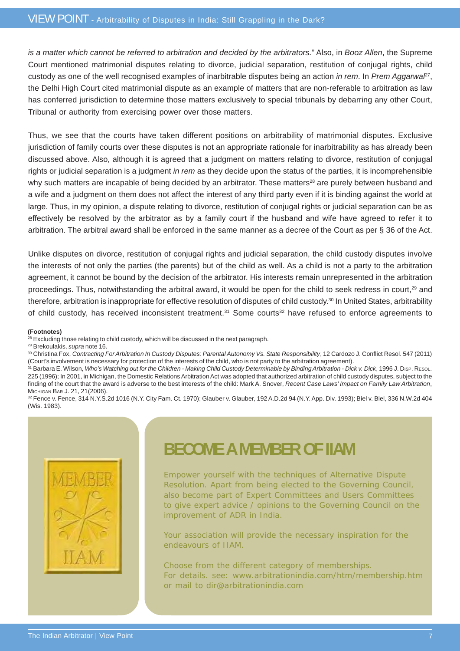*is a matter which cannot be referred to arbitration and decided by the arbitrators.*" Also, in *Booz Allen*, the Supreme Court mentioned matrimonial disputes relating to divorce, judicial separation, restitution of conjugal rights, child custody as one of the well recognised examples of inarbitrable disputes being an action *in rem*. In *Prem Aggarwal*27, the Delhi High Court cited matrimonial dispute as an example of matters that are non-referable to arbitration as law has conferred jurisdiction to determine those matters exclusively to special tribunals by debarring any other Court, Tribunal or authority from exercising power over those matters.

Thus, we see that the courts have taken different positions on arbitrability of matrimonial disputes. Exclusive jurisdiction of family courts over these disputes is not an appropriate rationale for inarbitrability as has already been discussed above. Also, although it is agreed that a judgment on matters relating to divorce, restitution of conjugal rights or judicial separation is a judgment *in rem* as they decide upon the status of the parties, it is incomprehensible why such matters are incapable of being decided by an arbitrator. These matters<sup>28</sup> are purely between husband and a wife and a judgment on them does not affect the interest of any third party even if it is binding against the world at large. Thus, in my opinion, a dispute relating to divorce, restitution of conjugal rights or judicial separation can be as effectively be resolved by the arbitrator as by a family court if the husband and wife have agreed to refer it to arbitration. The arbitral award shall be enforced in the same manner as a decree of the Court as per § 36 of the Act.

Unlike disputes on divorce, restitution of conjugal rights and judicial separation, the child custody disputes involve the interests of not only the parties (the parents) but of the child as well. As a child is not a party to the arbitration agreement, it cannot be bound by the decision of the arbitrator. His interests remain unrepresented in the arbitration proceedings. Thus, notwithstanding the arbitral award, it would be open for the child to seek redress in court,<sup>29</sup> and therefore, arbitration is inappropriate for effective resolution of disputes of child custody.30 In United States, arbitrability of child custody, has received inconsistent treatment.<sup>31</sup> Some courts<sup>32</sup> have refused to enforce agreements to

### **(Footnotes)**

<sup>32</sup> Fence v. Fence, 314 N.Y.S.2d 1016 (N.Y. City Fam. Ct. 1970); Glauber v. Glauber, 192 A.D.2d 94 (N.Y. App. Div. 1993); Biel v. Biel, 336 N.W.2d 404 (Wis. 1983).



## **BECOME A MEMBER OF IIAM**

Empower yourself with the techniques of Alternative Dispute Resolution. Apart from being elected to the Governing Council, also become part of Expert Committees and Users Committees to give expert advice / opinions to the Governing Council on the improvement of ADR in India.

Your association will provide the necessary inspiration for the endeavours of IIAM.

Choose from the different category of memberships. For details. see: www.arbitrationindia.com/htm/membership.htm or mail to dir@arbitrationindia.com

<sup>&</sup>lt;sup>28</sup> Excluding those relating to child custody, which will be discussed in the next paragraph.

<sup>29</sup> Brekoulakis, *supra* note 16.

<sup>30</sup> Christina Fox, *Contracting For Arbitration In Custody Disputes: Parental Autonomy Vs. State Responsibility*, 12 Cardozo J. Conflict Resol. 547 (2011) (Court's involvement is necessary for protection of the interests of the child, who is not party to the arbitration agreement).

<sup>&</sup>lt;sup>31</sup> Barbara E. Wilson, *Who's Watching out for the Children - Making Child Custody Determinable by Binding Arbitration - Dick v. Dick, 1996 J. Disp. RESOL.* 225 (1996); In 2001, in Michigan, the Domestic Relations Arbitration Act was adopted that authorized arbitration of child custody disputes, subject to the finding of the court that the award is adverse to the best interests of the child: Mark A. Snover, *Recent Case Laws' Impact on Family Law Arbitration*, MICHIGAN BAR J. 21, 21(2006).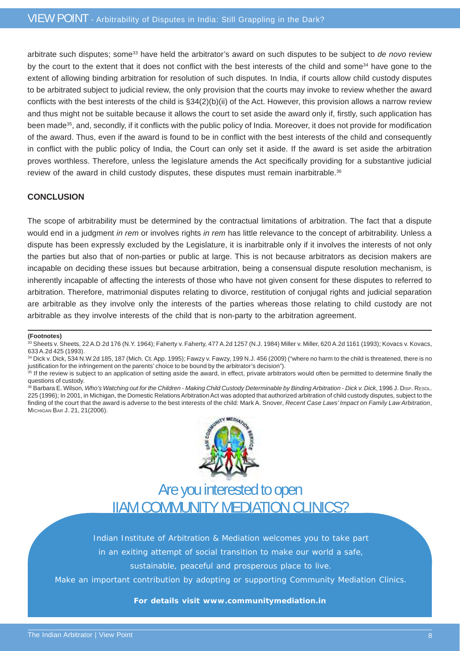arbitrate such disputes; some33 have held the arbitrator's award on such disputes to be subject to *de novo* review by the court to the extent that it does not conflict with the best interests of the child and some<sup>34</sup> have gone to the extent of allowing binding arbitration for resolution of such disputes. In India, if courts allow child custody disputes to be arbitrated subject to judicial review, the only provision that the courts may invoke to review whether the award conflicts with the best interests of the child is §34(2)(b)(ii) of the Act. However, this provision allows a narrow review and thus might not be suitable because it allows the court to set aside the award only if, firstly, such application has been made35, and, secondly, if it conflicts with the public policy of India. Moreover, it does not provide for modification of the award. Thus, even if the award is found to be in conflict with the best interests of the child and consequently in conflict with the public policy of India, the Court can only set it aside. If the award is set aside the arbitration proves worthless. Therefore, unless the legislature amends the Act specifically providing for a substantive judicial review of the award in child custody disputes, these disputes must remain inarbitrable.<sup>36</sup>

### **CONCLUSION**

The scope of arbitrability must be determined by the contractual limitations of arbitration. The fact that a dispute would end in a judgment *in rem* or involves rights *in rem* has little relevance to the concept of arbitrability. Unless a dispute has been expressly excluded by the Legislature, it is inarbitrable only if it involves the interests of not only the parties but also that of non-parties or public at large. This is not because arbitrators as decision makers are incapable on deciding these issues but because arbitration, being a consensual dispute resolution mechanism, is inherently incapable of affecting the interests of those who have not given consent for these disputes to referred to arbitration. Therefore, matrimonial disputes relating to divorce, restitution of conjugal rights and judicial separation are arbitrable as they involve only the interests of the parties whereas those relating to child custody are not arbitrable as they involve interests of the child that is non-party to the arbitration agreement.

#### **(Footnotes)**

<sup>36</sup> Barbara E. Wilson, Who's Watching out for the Children - Making Child Custody Determinable by Binding Arbitration - Dick v. Dick, 1996 J. Disp. RESOL. 225 (1996); In 2001, in Michigan, the Domestic Relations Arbitration Act was adopted that authorized arbitration of child custody disputes, subject to the finding of the court that the award is adverse to the best interests of the child: Mark A. Snover, *Recent Case Laws' Impact on Family Law Arbitration*, MICHIGAN BAR J. 21, 21(2006).



### Are you interested to open IIAM COMMUNITY MEDIATION CLINICS?

Indian Institute of Arbitration & Mediation welcomes you to take part in an exiting attempt of social transition to make our world a safe,

sustainable, peaceful and prosperous place to live.

Make an important contribution by adopting or supporting Community Mediation Clinics.

### **For details visit www.communitymediation.in**

<sup>33</sup> Sheets v. Sheets, 22 A.D.2d 176 (N.Y. 1964); Faherty v. Faherty, 477 A.2d 1257 (N.J. 1984) Miller v. Miller, 620 A.2d 1161 (1993); Kovacs v. Kovacs, 633 A.2d 425 (1993).

<sup>34</sup> Dick v. Dick, 534 N.W.2d 185, 187 (Mich. Ct. App. 1995); Fawzy v. Fawzy, 199 N.J. 456 (2009) ("where no harm to the child is threatened, there is no justification for the infringement on the parents' choice to be bound by the arbitrator's decision").

<sup>&</sup>lt;sup>35</sup> If the review is subject to an application of setting aside the award, in effect, private arbitrators would often be permitted to determine finally the questions of custody.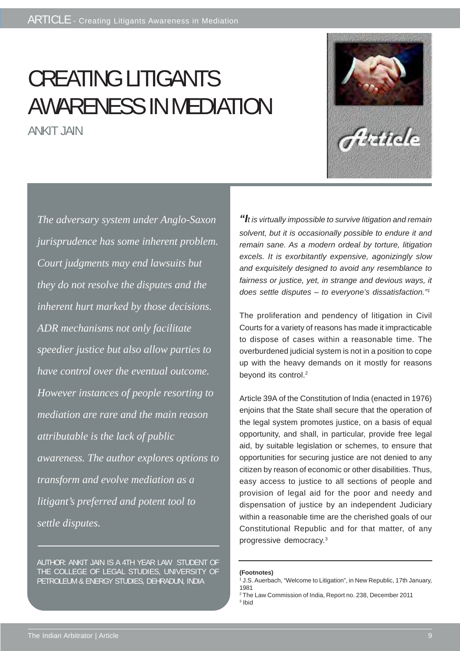# CREATING LITIGANTS AWARENESS IN MEDIATION

ANKIT JAIN



*The adversary system under Anglo-Saxon jurisprudence has some inherent problem. Court judgments may end lawsuits but they do not resolve the disputes and the inherent hurt marked by those decisions. ADR mechanisms not only facilitate speedier justice but also allow parties to have control over the eventual outcome. However instances of people resorting to mediation are rare and the main reason attributable is the lack of public awareness. The author explores options to transform and evolve mediation as a litigant's preferred and potent tool to settle disputes.*

AUTHOR: ANKIT JAIN IS A 4TH YEAR LAW STUDENT OF THE COLLEGE OF LEGAL STUDIES, UNIVERSITY OF PETROLEUM & ENERGY STUDIES, DEHRADUN, INDIA

*"It is virtually impossible to survive litigation and remain solvent, but it is occasionally possible to endure it and remain sane. As a modern ordeal by torture, litigation excels. It is exorbitantly expensive, agonizingly slow and exquisitely designed to avoid any resemblance to fairness or justice, yet, in strange and devious ways, it does settle disputes – to everyone's dissatisfaction."1*

The proliferation and pendency of litigation in Civil Courts for a variety of reasons has made it impracticable to dispose of cases within a reasonable time. The overburdened judicial system is not in a position to cope up with the heavy demands on it mostly for reasons beyond its control.<sup>2</sup>

Article 39A of the Constitution of India (enacted in 1976) enjoins that the State shall secure that the operation of the legal system promotes justice, on a basis of equal opportunity, and shall, in particular, provide free legal aid, by suitable legislation or schemes, to ensure that opportunities for securing justice are not denied to any citizen by reason of economic or other disabilities. Thus, easy access to justice to all sections of people and provision of legal aid for the poor and needy and dispensation of justice by an independent Judiciary within a reasonable time are the cherished goals of our Constitutional Republic and for that matter, of any progressive democracy.3

**(Footnotes)**

<sup>.&</sup>lt;br>J.S. Auerbach, "Welcome to Litigation", in New Republic, 17th January, 1981

<sup>2</sup> The Law Commission of India, Report no. 238, December 2011 3 Ibid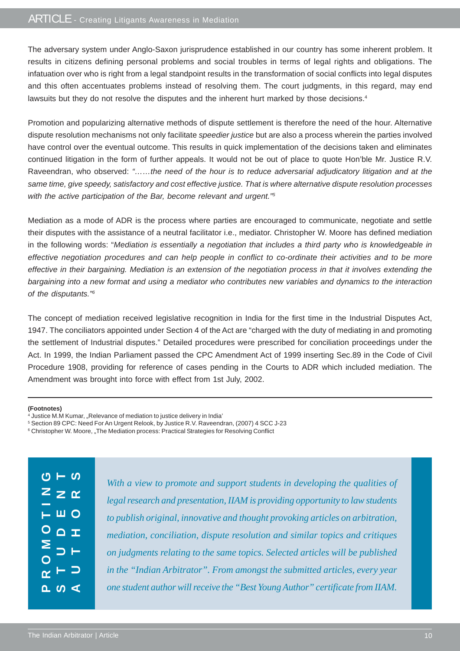### ARTICLE - Creating Litigants Awareness in Mediation

The adversary system under Anglo-Saxon jurisprudence established in our country has some inherent problem. It results in citizens defining personal problems and social troubles in terms of legal rights and obligations. The infatuation over who is right from a legal standpoint results in the transformation of social conflicts into legal disputes and this often accentuates problems instead of resolving them. The court judgments, in this regard, may end lawsuits but they do not resolve the disputes and the inherent hurt marked by those decisions.<sup>4</sup>

Promotion and popularizing alternative methods of dispute settlement is therefore the need of the hour. Alternative dispute resolution mechanisms not only facilitate *speedier justice* but are also a process wherein the parties involved have control over the eventual outcome. This results in quick implementation of the decisions taken and eliminates continued litigation in the form of further appeals. It would not be out of place to quote Hon'ble Mr. Justice R.V. Raveendran, who observed: *"……the need of the hour is to reduce adversarial adjudicatory litigation and at the same time, give speedy, satisfactory and cost effective justice. That is where alternative dispute resolution processes with the active participation of the Bar, become relevant and urgent."5*

Mediation as a mode of ADR is the process where parties are encouraged to communicate, negotiate and settle their disputes with the assistance of a neutral facilitator i.e., mediator. Christopher W. Moore has defined mediation in the following words: "*Mediation is essentially a negotiation that includes a third party who is knowledgeable in effective negotiation procedures and can help people in conflict to co-ordinate their activities and to be more effective in their bargaining. Mediation is an extension of the negotiation process in that it involves extending the bargaining into a new format and using a mediator who contributes new variables and dynamics to the interaction of the disputants."6*

The concept of mediation received legislative recognition in India for the first time in the Industrial Disputes Act, 1947. The conciliators appointed under Section 4 of the Act are "charged with the duty of mediating in and promoting the settlement of Industrial disputes." Detailed procedures were prescribed for conciliation proceedings under the Act. In 1999, the Indian Parliament passed the CPC Amendment Act of 1999 inserting Sec.89 in the Code of Civil Procedure 1908, providing for reference of cases pending in the Courts to ADR which included mediation. The Amendment was brought into force with effect from 1st July, 2002.

#### **(Footnotes)**

<sup>&</sup>lt;sup>6</sup> Christopher W. Moore, "The Mediation process: Practical Strategies for Resolving Conflict

|                       | ပ $-$ ပ                                            |  |
|-----------------------|----------------------------------------------------|--|
|                       | $z \geq \alpha$                                    |  |
|                       | $\overline{a}$ $\overline{a}$ $\overline{a}$       |  |
|                       | $O$ $\Omega$ $\pm$                                 |  |
| $\overline{\bigcirc}$ | ESH                                                |  |
|                       | $\alpha$ $\vdash$ $\supset$                        |  |
|                       | $\overline{\mathtt{p}}$ or $\overline{\mathtt{q}}$ |  |

*With a view to promote and support students in developing the qualities of legal research and presentation, IIAM is providing opportunity to law students to publish original, innovative and thought provoking articles on arbitration, mediation, conciliation, dispute resolution and similar topics and critiques on judgments relating to the same topics. Selected articles will be published in the "Indian Arbitrator". From amongst the submitted articles, every year one student author will receive the "Best Young Author" certificate from IIAM.*

<sup>&</sup>lt;sup>4</sup> Justice M.M Kumar, "Relevance of mediation to justice delivery in India'

<sup>5</sup> Section 89 CPC: Need For An Urgent Relook, by Justice R.V. Raveendran, (2007) 4 SCC J-23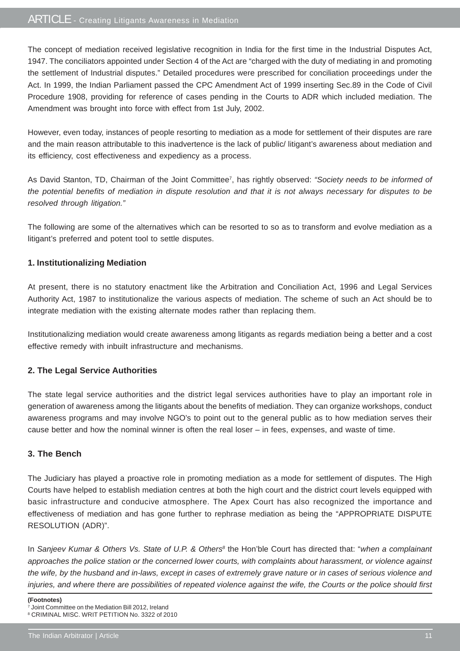The concept of mediation received legislative recognition in India for the first time in the Industrial Disputes Act, 1947. The conciliators appointed under Section 4 of the Act are "charged with the duty of mediating in and promoting the settlement of Industrial disputes." Detailed procedures were prescribed for conciliation proceedings under the Act. In 1999, the Indian Parliament passed the CPC Amendment Act of 1999 inserting Sec.89 in the Code of Civil Procedure 1908, providing for reference of cases pending in the Courts to ADR which included mediation. The Amendment was brought into force with effect from 1st July, 2002.

However, even today, instances of people resorting to mediation as a mode for settlement of their disputes are rare and the main reason attributable to this inadvertence is the lack of public/ litigant's awareness about mediation and its efficiency, cost effectiveness and expediency as a process.

As David Stanton, TD, Chairman of the Joint Committee7, has rightly observed: *"Society needs to be informed of the potential benefits of mediation in dispute resolution and that it is not always necessary for disputes to be resolved through litigation."*

The following are some of the alternatives which can be resorted to so as to transform and evolve mediation as a litigant's preferred and potent tool to settle disputes.

### **1. Institutionalizing Mediation**

At present, there is no statutory enactment like the Arbitration and Conciliation Act, 1996 and Legal Services Authority Act, 1987 to institutionalize the various aspects of mediation. The scheme of such an Act should be to integrate mediation with the existing alternate modes rather than replacing them.

Institutionalizing mediation would create awareness among litigants as regards mediation being a better and a cost effective remedy with inbuilt infrastructure and mechanisms.

### **2. The Legal Service Authorities**

The state legal service authorities and the district legal services authorities have to play an important role in generation of awareness among the litigants about the benefits of mediation. They can organize workshops, conduct awareness programs and may involve NGO's to point out to the general public as to how mediation serves their cause better and how the nominal winner is often the real loser – in fees, expenses, and waste of time.

### **3. The Bench**

The Judiciary has played a proactive role in promoting mediation as a mode for settlement of disputes. The High Courts have helped to establish mediation centres at both the high court and the district court levels equipped with basic infrastructure and conducive atmosphere. The Apex Court has also recognized the importance and effectiveness of mediation and has gone further to rephrase mediation as being the "APPROPRIATE DISPUTE RESOLUTION (ADR)".

In *Sanjeev Kumar & Others Vs. State of U.P. & Others<sup>8</sup> the Hon'ble Court has directed that: "when a complainant approaches the police station or the concerned lower courts, with complaints about harassment, or violence against the wife, by the husband and in-laws, except in cases of extremely grave nature or in cases of serious violence and injuries, and where there are possibilities of repeated violence against the wife, the Courts or the police should first*

**(Footnotes)**

<sup>7</sup> Joint Committee on the Mediation Bill 2012, Ireland

<sup>8</sup> CRIMINAL MISC. WRIT PETITION No. 3322 of 2010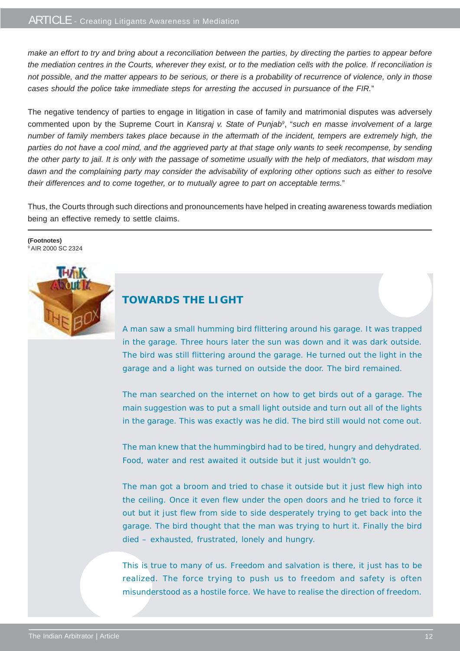*make an effort to try and bring about a reconciliation between the parties, by directing the parties to appear before the mediation centres in the Courts, wherever they exist, or to the mediation cells with the police. If reconciliation is not possible, and the matter appears to be serious, or there is a probability of recurrence of violence, only in those cases should the police take immediate steps for arresting the accused in pursuance of the FIR.*"

The negative tendency of parties to engage in litigation in case of family and matrimonial disputes was adversely commented upon by the Supreme Court in *Kansraj v. State of Punjab9* , "*such en masse involvement of a large number of family members takes place because in the aftermath of the incident, tempers are extremely high, the parties do not have a cool mind, and the aggrieved party at that stage only wants to seek recompense, by sending the other party to jail. It is only with the passage of sometime usually with the help of mediators, that wisdom may dawn and the complaining party may consider the advisability of exploring other options such as either to resolve their differences and to come together, or to mutually agree to part on acceptable terms.*"

Thus, the Courts through such directions and pronouncements have helped in creating awareness towards mediation being an effective remedy to settle claims.

**(Footnotes)** <sup>9</sup> AIR 2000 SC 2324



### **TOWARDS THE LIGHT**

A man saw a small humming bird flittering around his garage. It was trapped in the garage. Three hours later the sun was down and it was dark outside. The bird was still flittering around the garage. He turned out the light in the garage and a light was turned on outside the door. The bird remained.

The man searched on the internet on how to get birds out of a garage. The main suggestion was to put a small light outside and turn out all of the lights in the garage. This was exactly was he did. The bird still would not come out.

The man knew that the hummingbird had to be tired, hungry and dehydrated. Food, water and rest awaited it outside but it just wouldn't go.

The man got a broom and tried to chase it outside but it just flew high into the ceiling. Once it even flew under the open doors and he tried to force it out but it just flew from side to side desperately trying to get back into the garage. The bird thought that the man was trying to hurt it. Finally the bird died – exhausted, frustrated, lonely and hungry.

This is true to many of us. Freedom and salvation is there, it just has to be realized. The force trying to push us to freedom and safety is often misunderstood as a hostile force. We have to realise the direction of freedom.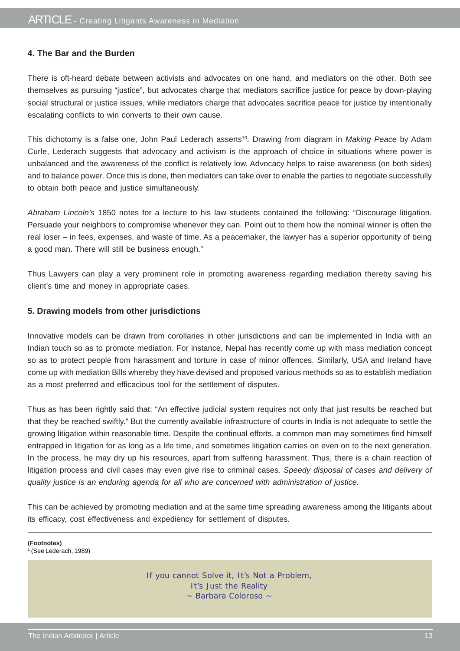### **4. The Bar and the Burden**

There is oft-heard debate between activists and advocates on one hand, and mediators on the other. Both see themselves as pursuing "justice", but advocates charge that mediators sacrifice justice for peace by down-playing social structural or justice issues, while mediators charge that advocates sacrifice peace for justice by intentionally escalating conflicts to win converts to their own cause.

This dichotomy is a false one, John Paul Lederach asserts<sup>10</sup>. Drawing from diagram in *Making Peace* by Adam Curle, Lederach suggests that advocacy and activism is the approach of choice in situations where power is unbalanced and the awareness of the conflict is relatively low. Advocacy helps to raise awareness (on both sides) and to balance power. Once this is done, then mediators can take over to enable the parties to negotiate successfully to obtain both peace and justice simultaneously.

*Abraham Lincoln's* 1850 notes for a lecture to his law students contained the following: "Discourage litigation. Persuade your neighbors to compromise whenever they can. Point out to them how the nominal winner is often the real loser – in fees, expenses, and waste of time. As a peacemaker, the lawyer has a superior opportunity of being a good man. There will still be business enough."

Thus Lawyers can play a very prominent role in promoting awareness regarding mediation thereby saving his client's time and money in appropriate cases.

### **5. Drawing models from other jurisdictions**

Innovative models can be drawn from corollaries in other jurisdictions and can be implemented in India with an Indian touch so as to promote mediation. For instance, Nepal has recently come up with mass mediation concept so as to protect people from harassment and torture in case of minor offences. Similarly, USA and Ireland have come up with mediation Bills whereby they have devised and proposed various methods so as to establish mediation as a most preferred and efficacious tool for the settlement of disputes.

Thus as has been rightly said that: "An effective judicial system requires not only that just results be reached but that they be reached swiftly." But the currently available infrastructure of courts in India is not adequate to settle the growing litigation within reasonable time. Despite the continual efforts, a common man may sometimes find himself entrapped in litigation for as long as a life time, and sometimes litigation carries on even on to the next generation. In the process, he may dry up his resources, apart from suffering harassment. Thus, there is a chain reaction of litigation process and civil cases may even give rise to criminal cases. *Speedy disposal of cases and delivery of quality justice is an enduring agenda for all who are concerned with administration of justice.*

This can be achieved by promoting mediation and at the same time spreading awareness among the litigants about its efficacy, cost effectiveness and expediency for settlement of disputes.

**(Footnotes)** 1 (See Lederach, 1989)

> If you cannot Solve it, It's Not a Problem, It's Just the Reality ~ Barbara Coloroso ~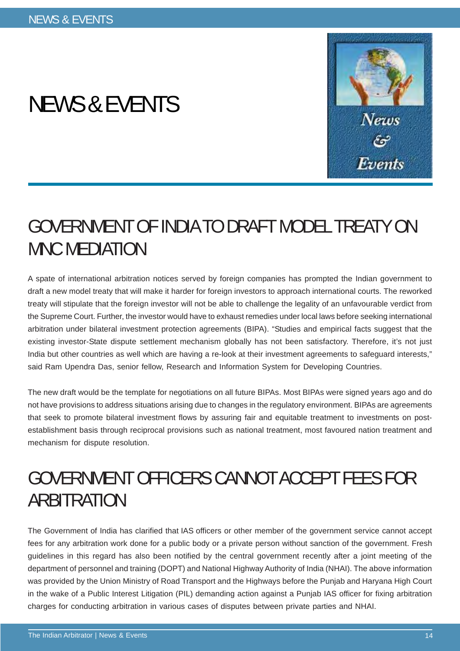# NEWS & EVENTS



## GOVERNMENT OF INDIA TO DRAFT MODEL TREATY ON MNC MEDIATION

A spate of international arbitration notices served by foreign companies has prompted the Indian government to draft a new model treaty that will make it harder for foreign investors to approach international courts. The reworked treaty will stipulate that the foreign investor will not be able to challenge the legality of an unfavourable verdict from the Supreme Court. Further, the investor would have to exhaust remedies under local laws before seeking international arbitration under bilateral investment protection agreements (BIPA). "Studies and empirical facts suggest that the existing investor-State dispute settlement mechanism globally has not been satisfactory. Therefore, it's not just India but other countries as well which are having a re-look at their investment agreements to safeguard interests," said Ram Upendra Das, senior fellow, Research and Information System for Developing Countries.

The new draft would be the template for negotiations on all future BIPAs. Most BIPAs were signed years ago and do not have provisions to address situations arising due to changes in the regulatory environment. BIPAs are agreements that seek to promote bilateral investment flows by assuring fair and equitable treatment to investments on postestablishment basis through reciprocal provisions such as national treatment, most favoured nation treatment and mechanism for dispute resolution.

## GOVERNMENT OFFICERS CANNOT ACCEPT FEES FOR ARBITRATION

The Government of India has clarified that IAS officers or other member of the government service cannot accept fees for any arbitration work done for a public body or a private person without sanction of the government. Fresh guidelines in this regard has also been notified by the central government recently after a joint meeting of the department of personnel and training (DOPT) and National Highway Authority of India (NHAI). The above information was provided by the Union Ministry of Road Transport and the Highways before the Punjab and Haryana High Court in the wake of a Public Interest Litigation (PIL) demanding action against a Punjab IAS officer for fixing arbitration charges for conducting arbitration in various cases of disputes between private parties and NHAI.